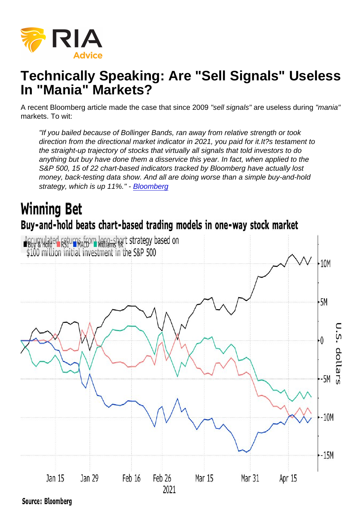# Technically Speaking: Are "Sell Signals" Useless In "Mania" Markets?

A recent Bloomberg article made the case that since 2009 "sell signals" are useless during "mania" markets. To wit:

"If you bailed because of Bollinger Bands, ran away from relative strength or took direction from the directional market indicator in 2021, you paid for it.It?s testament to the straight-up trajectory of stocks that virtually all signals that told investors to do anything but buy have done them a disservice this year. In fact, when applied to the S&P 500, 15 of 22 chart-based indicators tracked by Bloomberg have actually lost money, back-testing data show. And all are doing worse than a simple buy-and-hold strategy, which is up 11%." - [Bloomberg](https://www.bloomberg.com/news/articles/2021-04-24/sell-signals-all-but-useless-in-unchartable-2021-stock-market)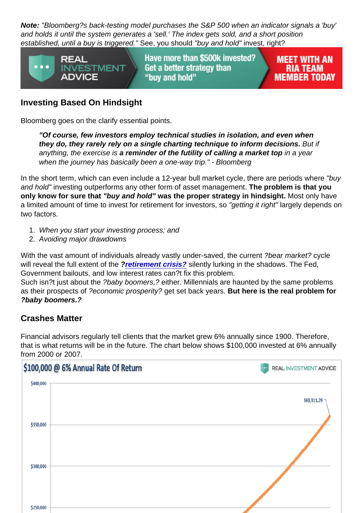Note: "Bloomberg?s back-testing model purchases the S&P 500 when an indicator signals a 'buy' and holds it until the system generates a 'sell.' The index gets sold, and a short position established, until a buy is triggered." See, you should "buy and hold" invest, right?

### Investing Based On Hindsight

Bloomberg goes on the clarify essential points.

"Of course, few investors employ technical studies in isolation, and even when they do, they rarely rely on a single charting technique to inform decisions. But if anything, the exercise is a reminder of the futility of calling a market top  $\qquad$  in a year when the journey has basically been a one-way trip." - Bloomberg

In the short term, which can even include a 12-year bull market cycle, there are periods where "buy and hold" investing outperforms any other form of asset management. The problem is that you only know for sure that "buy and hold" was the proper strategy in hindsight. Most only have a limited amount of time to invest for retirement for investors, so "getting it right" largely depends on two factors.

- 1. When you start your investing process; and
- 2. Avoiding major drawdowns

With the vast amount of individuals already vastly under-saved, the current ?bear market? cycle will reveal the full extent of the ?[retirement crisis?](https://realinvestmentadvice.com/retirees-face-a-pension-crisis-of-their-own/) silently lurking in the shadows. The Fed, Government bailouts, and low interest rates can?t fix this problem.

Such isn?t just about the ?baby boomers,? either. Millennials are haunted by the same problems as their prospects of ?economic prosperity? get set back years. But here is the real problem for ?baby boomers.?

#### Crashes Matter

Financial advisors regularly tell clients that the market grew 6% annually since 1900. Therefore, that is what returns will be in the future. The chart below shows \$100,000 invested at 6% annually from 2000 or 2007.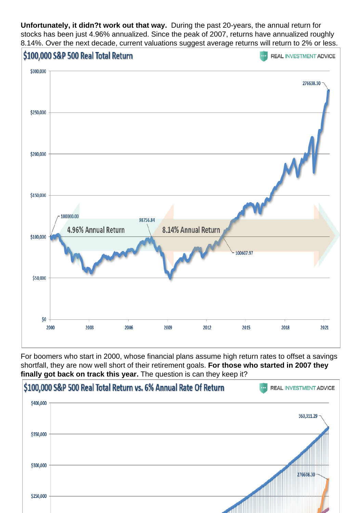Unfortunately, it didn?t work out that way. During the past 20-years, the annual return for stocks has been just 4.96% annualized. Since the peak of 2007, returns have annualized roughly 8.14%. Over the next decade, current valuations suggest average returns will return to 2% or less.

For boomers who start in 2000, whose financial plans assume high return rates to offset a savings shortfall, they are now well short of their retirement goals. For those who started in 2007 they finally got back on track this year. The question is can they keep it?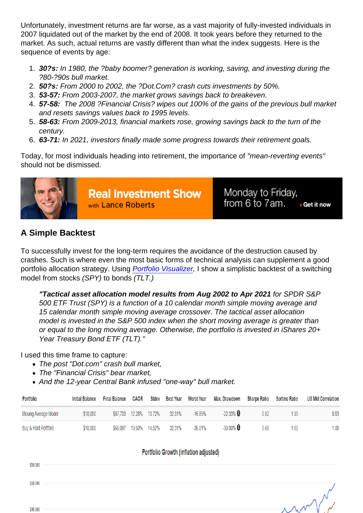Unfortunately, investment returns are far worse, as a vast majority of fully-invested individuals in 2007 liquidated out of the market by the end of 2008. It took years before they returned to the market. As such, actual returns are vastly different than what the index suggests. Here is the sequence of events by age:

- 1. 30?s: In 1980, the ?baby boomer? generation is working, saving, and investing during the ?80-?90s bull market.
- 2. 50?s: From 2000 to 2002, the ?Dot.Com? crash cuts investments by 50%.
- 3. 53-57: From 2003-2007, the market grows savings back to breakeven.
- 4. 57-58: The 2008 ?Financial Crisis? wipes out 100% of the gains of the previous bull market and resets savings values back to 1995 levels.
- 5. 58-63: From 2009-2013, financial markets rose, growing savings back to the turn of the century.
- 6. 63-71: In 2021, investors finally made some progress towards their retirement goals.

Today, for most individuals heading into retirement, the importance of "mean-reverting events" should not be dismissed.

## A Simple Backtest

To successfully invest for the long-term requires the avoidance of the destruction caused by crashes. Such is where even the most basic forms of technical analysis can supplement a good portfolio allocation strategy. Using [Portfolio Visualizer,](https://www.portfoliovisualizer.com/) I show a simplistic backtest of a switching model from stocks (SPY) to bonds (TLT.)

"Tactical asset allocation model results from Aug 2002 to Apr 2021 for SPDR S&P 500 ETF Trust (SPY) is a function of a 10 calendar month simple moving average and 15 calendar month simple moving average crossover. The tactical asset allocation model is invested in the S&P 500 index when the short moving average is greater than or equal to the long moving average. Otherwise, the portfolio is invested in iShares 20+ Year Treasury Bond ETF (TLT)."

I used this time frame to capture:

- The post "Dot.com" crash bull market,
- The "Financial Crisis" bear market,
- And the 12-year Central Bank infused "one-way" bull market.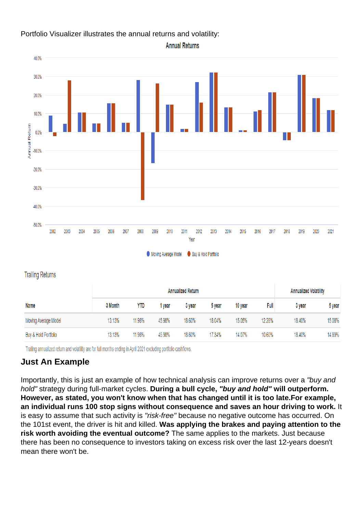Portfolio Visualizer illustrates the annual returns and volatility:

#### Just An Example

Importantly, this is just an example of how technical analysis can improve returns over a "buy and hold" strategy during full-market cycles. During a bull cycle, "buy and hold" will outperform. However, as stated, you won't know when that has changed until it is too late. For example, an individual runs 100 stop signs without consequence and saves an hour driving to work. It is easy to assume that such activity is "risk-free" because no negative outcome has occurred. On the 101st event, the driver is hit and killed. Was applying the brakes and paying attention to the risk worth avoiding the eventual outcome? The same applies to the markets. Just because there has been no consequence to investors taking on excess risk over the last 12-years doesn't mean there won't be.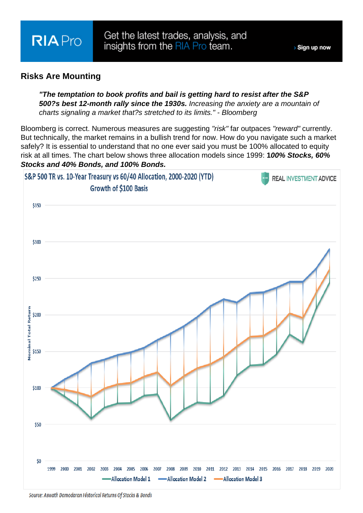#### Risks Are Mounting

"The temptation to book profits and bail is getting hard to resist after the S&P 500?s best 12-month rally since the 1930s. Increasing the anxiety are a mountain of charts signaling a market that?s stretched to its limits." - Bloomberg

Bloomberg is correct. Numerous measures are suggesting "risk" far outpaces "reward" currently. But technically, the market remains in a bullish trend for now. How do you navigate such a market safely? It is essential to understand that no one ever said you must be 100% allocated to equity risk at all times. The chart below shows three allocation models since 1999: 100% Stocks, 60% Stocks and 40% Bonds, and 1 00% Bonds.